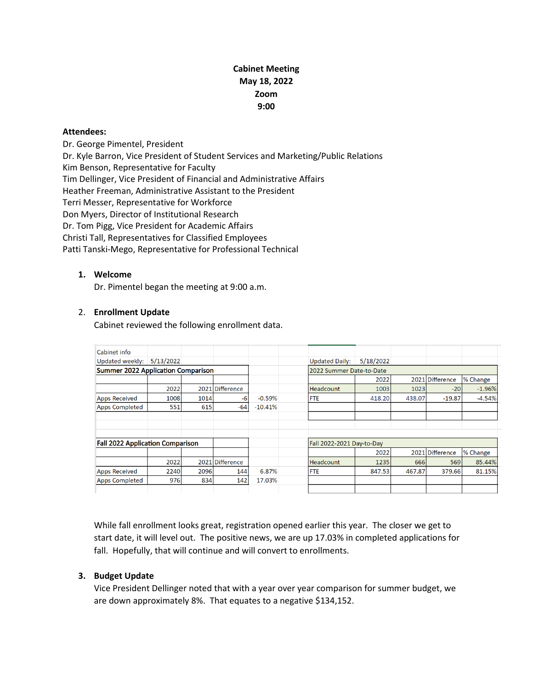# **Cabinet Meeting May 18, 2022 Zoom 9:00**

#### **Attendees:**

Dr. George Pimentel, President Dr. Kyle Barron, Vice President of Student Services and Marketing/Public Relations Kim Benson, Representative for Faculty Tim Dellinger, Vice President of Financial and Administrative Affairs Heather Freeman, Administrative Assistant to the President Terri Messer, Representative for Workforce Don Myers, Director of Institutional Research Dr. Tom Pigg, Vice President for Academic Affairs Christi Tall, Representatives for Classified Employees Patti Tanski-Mego, Representative for Professional Technical

## **1. Welcome**

Dr. Pimentel began the meeting at 9:00 a.m.

#### 2. **Enrollment Update**

Cabinet reviewed the following enrollment data.

| Cabinet info                              |           |      |                 |           |                           |                          |        |                 |          |  |
|-------------------------------------------|-----------|------|-----------------|-----------|---------------------------|--------------------------|--------|-----------------|----------|--|
| Updated weekly:                           | 5/13/2022 |      |                 |           | <b>Updated Daily:</b>     | 5/18/2022                |        |                 |          |  |
| <b>Summer 2022 Application Comparison</b> |           |      |                 |           |                           | 2022 Summer Date-to-Date |        |                 |          |  |
|                                           |           |      |                 |           |                           | 2022                     |        | 2021 Difference | % Change |  |
|                                           | 2022      |      | 2021 Difference |           | <b>Headcount</b>          | 1003                     | 1023   | $-20$           | $-1.96%$ |  |
| <b>Apps Received</b>                      | 1008      | 1014 | -6              | $-0.59%$  | <b>FTE</b>                | 418.20                   | 438.07 | $-19.87$        | $-4.54%$ |  |
| <b>Apps Completed</b>                     | 551       | 615  | $-64$           | $-10.41%$ |                           |                          |        |                 |          |  |
|                                           |           |      |                 |           |                           |                          |        |                 |          |  |
|                                           |           |      |                 |           |                           |                          |        |                 |          |  |
|                                           |           |      |                 |           |                           |                          |        |                 |          |  |
| <b>Fall 2022 Application Comparison</b>   |           |      |                 |           | Fall 2022-2021 Day-to-Day |                          |        |                 |          |  |
|                                           |           |      |                 |           |                           | 2022                     |        | 2021 Difference | % Change |  |
|                                           | 2022      |      | 2021 Difference |           | <b>Headcount</b>          | 1235                     | 666    | 569             | 85.44%   |  |
| <b>Apps Received</b>                      | 2240      | 2096 | 144             | 6.87%     | <b>FTE</b>                | 847.53                   | 467.87 | 379.66          | 81.15%   |  |
| <b>Apps Completed</b>                     | 976       | 834  | 142             | 17.03%    |                           |                          |        |                 |          |  |
|                                           |           |      |                 |           |                           |                          |        |                 |          |  |

While fall enrollment looks great, registration opened earlier this year. The closer we get to start date, it will level out. The positive news, we are up 17.03% in completed applications for fall. Hopefully, that will continue and will convert to enrollments.

## **3. Budget Update**

Vice President Dellinger noted that with a year over year comparison for summer budget, we are down approximately 8%. That equates to a negative \$134,152.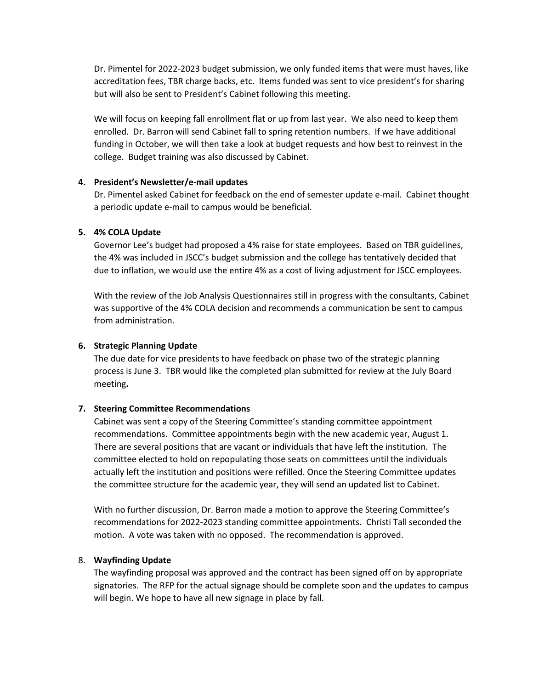Dr. Pimentel for 2022-2023 budget submission, we only funded items that were must haves, like accreditation fees, TBR charge backs, etc. Items funded was sent to vice president's for sharing but will also be sent to President's Cabinet following this meeting.

We will focus on keeping fall enrollment flat or up from last year. We also need to keep them enrolled. Dr. Barron will send Cabinet fall to spring retention numbers. If we have additional funding in October, we will then take a look at budget requests and how best to reinvest in the college. Budget training was also discussed by Cabinet.

## **4. President's Newsletter/e-mail updates**

Dr. Pimentel asked Cabinet for feedback on the end of semester update e-mail. Cabinet thought a periodic update e-mail to campus would be beneficial.

#### **5. 4% COLA Update**

Governor Lee's budget had proposed a 4% raise for state employees. Based on TBR guidelines, the 4% was included in JSCC's budget submission and the college has tentatively decided that due to inflation, we would use the entire 4% as a cost of living adjustment for JSCC employees.

With the review of the Job Analysis Questionnaires still in progress with the consultants, Cabinet was supportive of the 4% COLA decision and recommends a communication be sent to campus from administration.

#### **6. Strategic Planning Update**

The due date for vice presidents to have feedback on phase two of the strategic planning process is June 3. TBR would like the completed plan submitted for review at the July Board meeting**.** 

## **7. Steering Committee Recommendations**

Cabinet was sent a copy of the Steering Committee's standing committee appointment recommendations. Committee appointments begin with the new academic year, August 1. There are several positions that are vacant or individuals that have left the institution. The committee elected to hold on repopulating those seats on committees until the individuals actually left the institution and positions were refilled. Once the Steering Committee updates the committee structure for the academic year, they will send an updated list to Cabinet.

With no further discussion, Dr. Barron made a motion to approve the Steering Committee's recommendations for 2022-2023 standing committee appointments. Christi Tall seconded the motion. A vote was taken with no opposed. The recommendation is approved.

#### 8. **Wayfinding Update**

The wayfinding proposal was approved and the contract has been signed off on by appropriate signatories. The RFP for the actual signage should be complete soon and the updates to campus will begin. We hope to have all new signage in place by fall.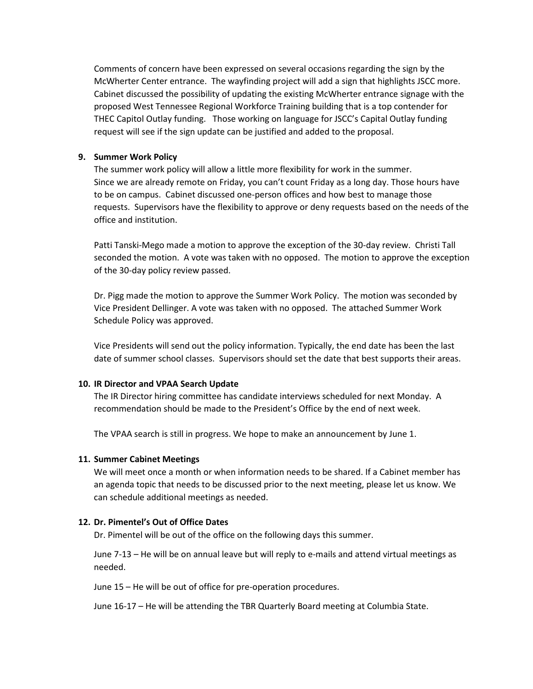Comments of concern have been expressed on several occasions regarding the sign by the McWherter Center entrance. The wayfinding project will add a sign that highlights JSCC more. Cabinet discussed the possibility of updating the existing McWherter entrance signage with the proposed West Tennessee Regional Workforce Training building that is a top contender for THEC Capitol Outlay funding. Those working on language for JSCC's Capital Outlay funding request will see if the sign update can be justified and added to the proposal.

## **9. Summer Work Policy**

The summer work policy will allow a little more flexibility for work in the summer. Since we are already remote on Friday, you can't count Friday as a long day. Those hours have to be on campus. Cabinet discussed one-person offices and how best to manage those requests. Supervisors have the flexibility to approve or deny requests based on the needs of the office and institution.

Patti Tanski-Mego made a motion to approve the exception of the 30-day review. Christi Tall seconded the motion. A vote was taken with no opposed. The motion to approve the exception of the 30-day policy review passed.

Dr. Pigg made the motion to approve the Summer Work Policy. The motion was seconded by Vice President Dellinger. A vote was taken with no opposed. The attached Summer Work Schedule Policy was approved.

Vice Presidents will send out the policy information. Typically, the end date has been the last date of summer school classes. Supervisors should set the date that best supports their areas.

## **10. IR Director and VPAA Search Update**

The IR Director hiring committee has candidate interviews scheduled for next Monday. A recommendation should be made to the President's Office by the end of next week.

The VPAA search is still in progress. We hope to make an announcement by June 1.

## **11. Summer Cabinet Meetings**

We will meet once a month or when information needs to be shared. If a Cabinet member has an agenda topic that needs to be discussed prior to the next meeting, please let us know. We can schedule additional meetings as needed.

## **12. Dr. Pimentel's Out of Office Dates**

Dr. Pimentel will be out of the office on the following days this summer.

June 7-13 – He will be on annual leave but will reply to e-mails and attend virtual meetings as needed.

June 15 – He will be out of office for pre-operation procedures.

June 16-17 – He will be attending the TBR Quarterly Board meeting at Columbia State.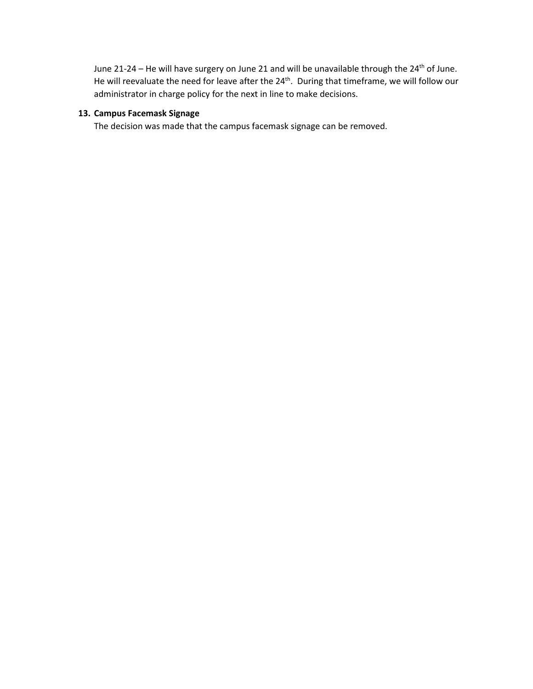June 21-24 – He will have surgery on June 21 and will be unavailable through the 24<sup>th</sup> of June. He will reevaluate the need for leave after the 24<sup>th</sup>. During that timeframe, we will follow our administrator in charge policy for the next in line to make decisions.

#### **13. Campus Facemask Signage**

The decision was made that the campus facemask signage can be removed.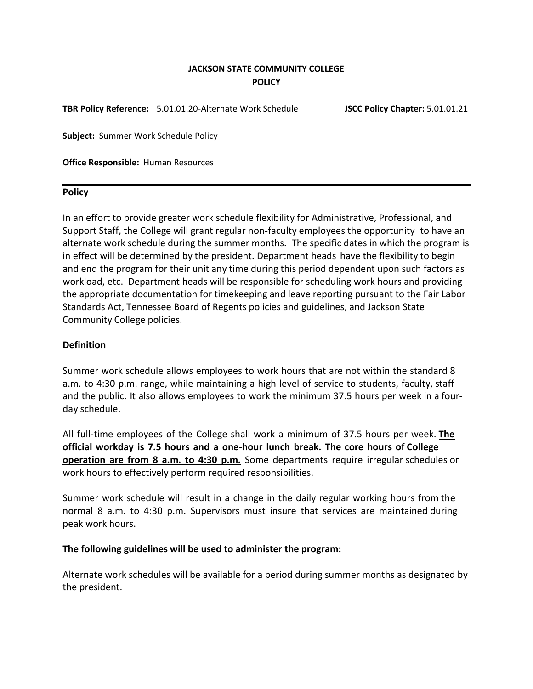# **JACKSON STATE COMMUNITY COLLEGE POLICY**

**TBR Policy Reference:** 5.01.01.20-Alternate Work Schedule **JSCC Policy Chapter:** 5.01.01.21

**Subject:** Summer Work Schedule Policy

**Office Responsible:** Human Resources

#### **Policy**

In an effort to provide greater work schedule flexibility for Administrative, Professional, and Support Staff, the College will grant regular non-faculty employees the opportunity to have an alternate work schedule during the summer months. The specific dates in which the program is in effect will be determined by the president. Department heads have the flexibility to begin and end the program for their unit any time during this period dependent upon such factors as workload, etc. Department heads will be responsible for scheduling work hours and providing the appropriate documentation for timekeeping and leave reporting pursuant to the Fair Labor Standards Act, Tennessee Board of Regents policies and guidelines, and Jackson State Community College policies.

## **Definition**

Summer work schedule allows employees to work hours that are not within the standard 8 a.m. to 4:30 p.m. range, while maintaining a high level of service to students, faculty, staff and the public. It also allows employees to work the minimum 37.5 hours per week in a fourday schedule.

All full-time employees of the College shall work a minimum of 37.5 hours per week. **The official workday is 7.5 hours and a one-hour lunch break. The core hours of College operation are from 8 a.m. to 4:30 p.m.** Some departments require irregular schedules or work hours to effectively perform required responsibilities.

Summer work schedule will result in a change in the daily regular working hours from the normal 8 a.m. to 4:30 p.m. Supervisors must insure that services are maintained during peak work hours.

## **The following guidelines will be used to administer the program:**

Alternate work schedules will be available for a period during summer months as designated by the president.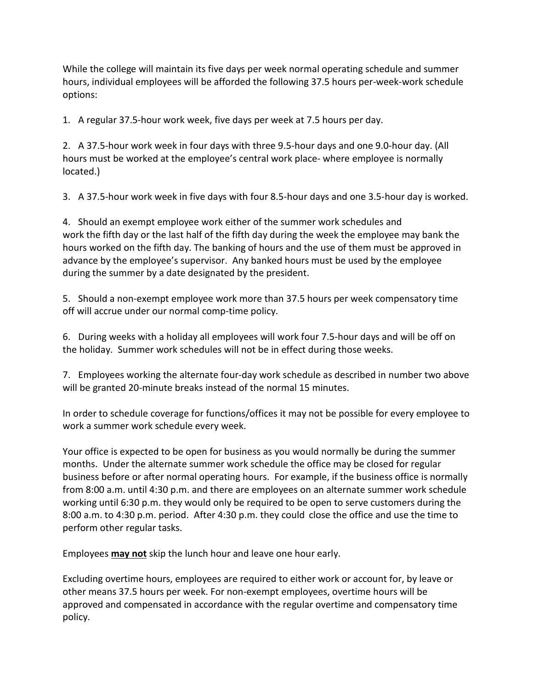While the college will maintain its five days per week normal operating schedule and summer hours, individual employees will be afforded the following 37.5 hours per-week-work schedule options:

1. A regular 37.5-hour work week, five days per week at 7.5 hours per day.

2. A 37.5-hour work week in four days with three 9.5-hour days and one 9.0-hour day. (All hours must be worked at the employee's central work place- where employee is normally located.)

3. A 37.5-hour work week in five days with four 8.5-hour days and one 3.5-hour day is worked.

4. Should an exempt employee work either of the summer work schedules and work the fifth day or the last half of the fifth day during the week the employee may bank the hours worked on the fifth day. The banking of hours and the use of them must be approved in advance by the employee's supervisor. Any banked hours must be used by the employee during the summer by a date designated by the president.

5. Should a non-exempt employee work more than 37.5 hours per week compensatory time off will accrue under our normal comp-time policy.

6. During weeks with a holiday all employees will work four 7.5-hour days and will be off on the holiday. Summer work schedules will not be in effect during those weeks.

7. Employees working the alternate four-day work schedule as described in number two above will be granted 20-minute breaks instead of the normal 15 minutes.

In order to schedule coverage for functions/offices it may not be possible for every employee to work a summer work schedule every week.

Your office is expected to be open for business as you would normally be during the summer months. Under the alternate summer work schedule the office may be closed for regular business before or after normal operating hours. For example, if the business office is normally from 8:00 a.m. until 4:30 p.m. and there are employees on an alternate summer work schedule working until 6:30 p.m. they would only be required to be open to serve customers during the 8:00 a.m. to 4:30 p.m. period. After 4:30 p.m. they could close the office and use the time to perform other regular tasks.

Employees **may not** skip the lunch hour and leave one hour early.

Excluding overtime hours, employees are required to either work or account for, by leave or other means 37.5 hours per week. For non-exempt employees, overtime hours will be approved and compensated in accordance with the regular overtime and compensatory time policy.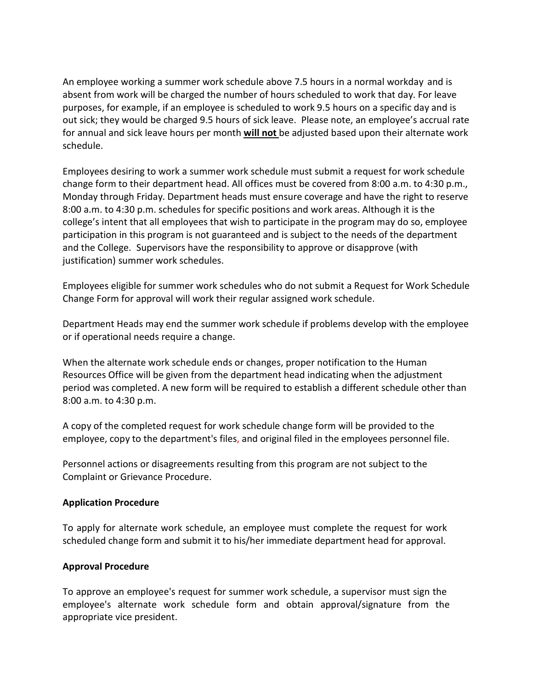An employee working a summer work schedule above 7.5 hours in a normal workday and is absent from work will be charged the number of hours scheduled to work that day. For leave purposes, for example, if an employee is scheduled to work 9.5 hours on a specific day and is out sick; they would be charged 9.5 hours of sick leave. Please note, an employee's accrual rate for annual and sick leave hours per month **will not** be adjusted based upon their alternate work schedule.

Employees desiring to work a summer work schedule must submit a request for work schedule change form to their department head. All offices must be covered from 8:00 a.m. to 4:30 p.m., Monday through Friday. Department heads must ensure coverage and have the right to reserve 8:00 a.m. to 4:30 p.m. schedules for specific positions and work areas. Although it is the college's intent that all employees that wish to participate in the program may do so, employee participation in this program is not guaranteed and is subject to the needs of the department and the College. Supervisors have the responsibility to approve or disapprove (with justification) summer work schedules.

Employees eligible for summer work schedules who do not submit a Request for Work Schedule Change Form for approval will work their regular assigned work schedule.

Department Heads may end the summer work schedule if problems develop with the employee or if operational needs require a change.

When the alternate work schedule ends or changes, proper notification to the Human Resources Office will be given from the department head indicating when the adjustment period was completed. A new form will be required to establish a different schedule other than 8:00 a.m. to 4:30 p.m.

A copy of the completed request for work schedule change form will be provided to the employee, copy to the department's files, and original filed in the employees personnel file.

Personnel actions or disagreements resulting from this program are not subject to the Complaint or Grievance Procedure.

## **Application Procedure**

To apply for alternate work schedule, an employee must complete the request for work scheduled change form and submit it to his/her immediate department head for approval.

## **Approval Procedure**

To approve an employee's request for summer work schedule, a supervisor must sign the employee's alternate work schedule form and obtain approval/signature from the appropriate vice president.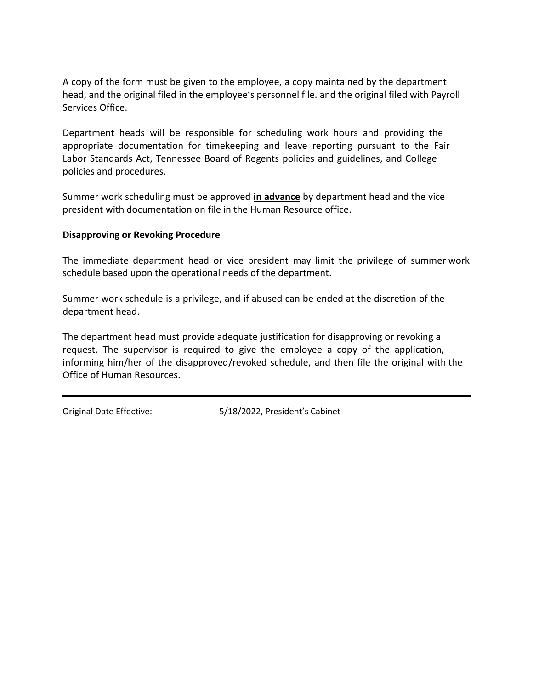A copy of the form must be given to the employee, a copy maintained by the department head, and the original filed in the employee's personnel file. and the original filed with Payroll Services Office.

Department heads will be responsible for scheduling work hours and providing the appropriate documentation for timekeeping and leave reporting pursuant to the Fair Labor Standards Act, Tennessee Board of Regents policies and guidelines, and College policies and procedures.

Summer work scheduling must be approved **in advance** by department head and the vice president with documentation on file in the Human Resource office.

## **Disapproving or Revoking Procedure**

The immediate department head or vice president may limit the privilege of summer work schedule based upon the operational needs of the department.

Summer work schedule is a privilege, and if abused can be ended at the discretion of the department head.

The department head must provide adequate justification for disapproving or revoking a request. The supervisor is required to give the employee a copy of the application, informing him/her of the disapproved/revoked schedule, and then file the original with the Office of Human Resources.

Original Date Effective: 5/18/2022, President's Cabinet